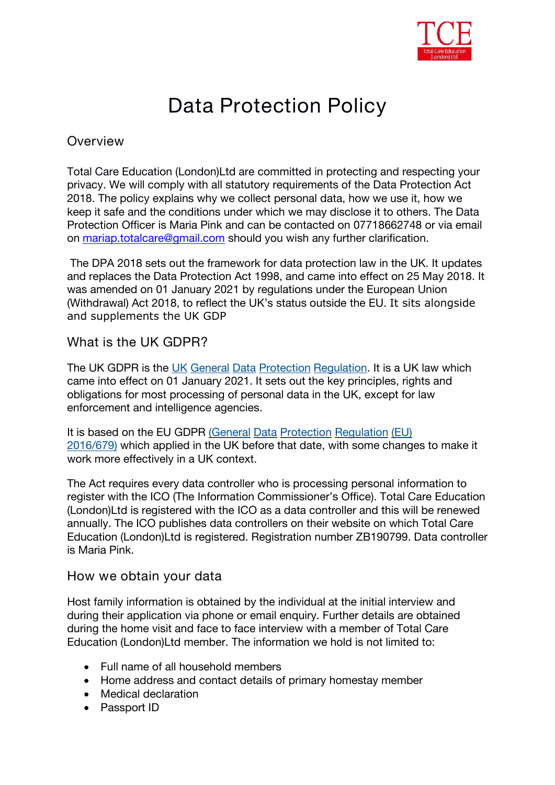

# **Data Protection Policy**

## **Overview**

Total Care Education (London)Ltd are committed in protecting and respecting your privacy. We will comply with all statutory requirements of the Data Protection Act 2018. The policy explains why we collect personal data, how we use it, how we keep it safe and the conditions under which we may disclose it to others. The Data Protection Officer is Maria Pink and can be contacted on 07718662748 or via email on [mariap.totalcare@gmail.com](mailto:mariap.totalcare@gmail.com) should you wish any further clarification.

The DPA 2018 sets out the framework for data protection law in the UK. It updates and replaces the Data Protection Act 1998, and came into effect on 25 May 2018. It was amended on 01 January 2021 by regulations under the European Union (Withdrawal) Act 2018, to reflect the UK's status outside the EU. It sits alongside and supplements the UK GDP

## **What is the UK GDPR?**

The UK GDPR is the UK General Data Protection [Regulation.](https://www.legislation.gov.uk/eur/2016/679/contents) It is a UK law which came into effect on 01 January 2021. It sets out the key principles, rights and obligations for most processing of personal data in the UK, except for law enforcement and intelligence agencies.

It is based on the EU GDPR (General Data Protection [Regulation](https://eur-lex.europa.eu/legal-content/EN/TXT/PDF/?uri=CELEX:32016R0679&from=EN) (EU) 2016/679) which applied in the UK before that date, with some changes to make it work more effectively in a UK context.

The Act requires every data controller who is processing personal information to register with the ICO (The Information Commissioner's Office). Total Care Education (London)Ltd is registered with the ICO as a data controller and this will be renewed annually. The ICO publishes data controllers on their website on which Total Care Education (London)Ltd is registered. Registration number ZB190799. Data controller is Maria Pink.

#### **How we obtain your data**

Host family information is obtained by the individual at the initial interview and during their application via phone or email enquiry. Further details are obtained during the home visit and face to face interview with a member of Total Care Education (London)Ltd member. The information we hold is not limited to:

- Full name of all household members
- Home address and contact details of primary homestay member
- Medical declaration
- Passport ID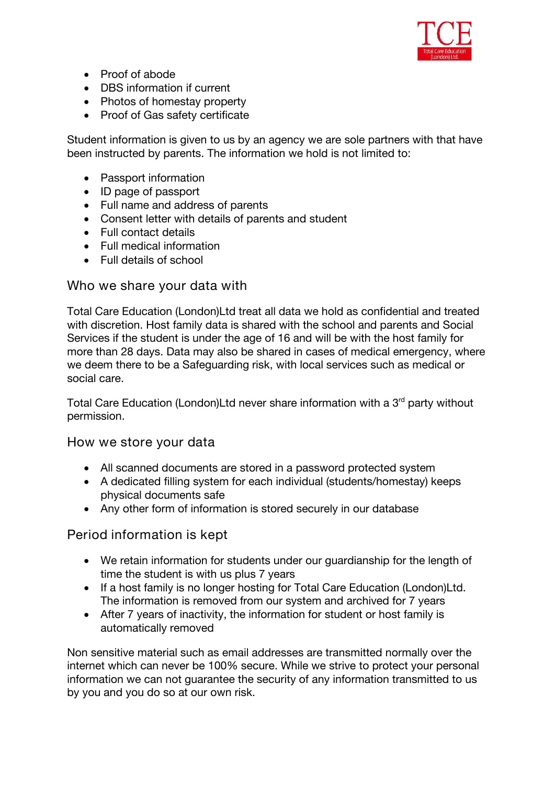

- Proof of abode
- DBS information if current
- Photos of homestay property
- Proof of Gas safety certificate

Student information is given to us by an agency we are sole partners with that have been instructed by parents. The information we hold is not limited to:

- Passport information
- ID page of passport
- Full name and address of parents
- Consent letter with details of parents and student
- Full contact details
- Full medical information
- Full details of school

# **Who we share your data with**

Total Care Education (London)Ltd treat all data we hold as confidential and treated with discretion. Host family data is shared with the school and parents and Social Services if the student is under the age of 16 and will be with the host family for more than 28 days. Data may also be shared in cases of medical emergency, where we deem there to be a Safeguarding risk, with local services such as medical or social care.

Total Care Education (London)Ltd never share information with a 3<sup>rd</sup> party without permission.

#### **How we store your data**

- All scanned documents are stored in a password protected system
- A dedicated filling system for each individual (students/homestay) keeps physical documents safe
- Any other form of information is stored securely in our database

# **Period information is kept**

- We retain information for students under our guardianship for the length of time the student is with us plus 7 years
- If a host family is no longer hosting for Total Care Education (London)Ltd. The information is removed from our system and archived for 7 years
- After 7 years of inactivity, the information for student or host family is automatically removed

Non sensitive material such as email addresses are transmitted normally over the internet which can never be 100% secure. While we strive to protect your personal information we can not guarantee the security of any information transmitted to us by you and you do so at our own risk.